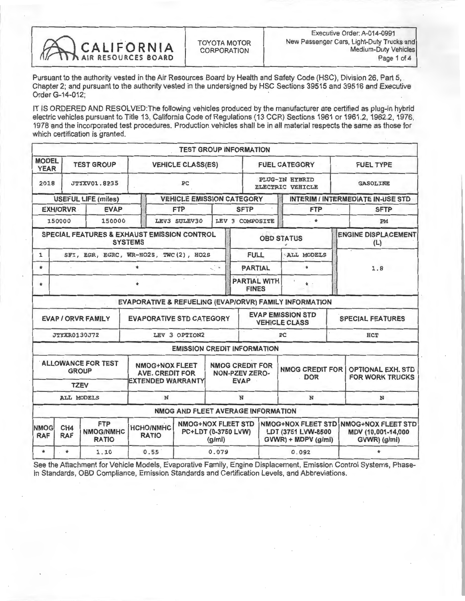

Pursuant to the authority vested in the Air Resources Board by Health and Safety Code (HSC), Division 26, Part 5, Chapter 2; and pursuant to the authority vested in the undersigned by HSC Sections 39515 and 39516 and Executive Order G-14-012;

IT IS ORDERED AND RESOLVED: The following vehicles produced by the manufacturer are certified as plug-in hybrid electric vehicles pursuant to Title 13, California Code of Regulations (13 CCR) Sections 1961 or 1961.2, 1962.2, 1976, 1978 and the incorporated test procedures. Production vehicles shall be in all material respects the same as those for which certification is granted.

|                                       |                                                                                                                                                                                                               |                                                        |                                                                      | <b>TEST GROUP INFORMATION</b>      |                                                                |                                                                        |                                           |                                                                 |                                                    |                                   |  |
|---------------------------------------|---------------------------------------------------------------------------------------------------------------------------------------------------------------------------------------------------------------|--------------------------------------------------------|----------------------------------------------------------------------|------------------------------------|----------------------------------------------------------------|------------------------------------------------------------------------|-------------------------------------------|-----------------------------------------------------------------|----------------------------------------------------|-----------------------------------|--|
| <b>MODEL</b><br><b>YEAR</b>           | <b>TEST GROUP</b>                                                                                                                                                                                             |                                                        |                                                                      | <b>VEHICLE CLASS(ES)</b>           |                                                                |                                                                        |                                           | <b>FUEL CATEGORY</b>                                            |                                                    | <b>FUEL TYPE</b>                  |  |
| 2018                                  | <b>JTYXV01.8P35</b>                                                                                                                                                                                           |                                                        | PC                                                                   |                                    |                                                                |                                                                        | PLUG-IN HYBRID<br><b>ELECTRIC VEHICLE</b> |                                                                 |                                                    | <b>GASOLINE</b>                   |  |
|                                       |                                                                                                                                                                                                               | <b>USEFUL LIFE (miles)</b>                             |                                                                      | <b>VEHICLE EMISSION CATEGORY</b>   |                                                                |                                                                        | <b>INTERIM / INTERMEDIATE IN-USE STD</b>  |                                                                 |                                                    |                                   |  |
|                                       | <b>EXH/ORVR</b>                                                                                                                                                                                               | <b>EVAP</b>                                            |                                                                      | <b>FTP</b>                         |                                                                | <b>SFTP</b>                                                            |                                           | <b>FTP</b>                                                      |                                                    | <b>SFTP</b>                       |  |
|                                       | 150000                                                                                                                                                                                                        | 150000                                                 |                                                                      | LEV3 SULEV30                       |                                                                | LEV 3 COMPOSITE                                                        |                                           | . ★                                                             | PM                                                 |                                   |  |
|                                       |                                                                                                                                                                                                               | <b>SPECIAL FEATURES &amp; EXHAUST EMISSION CONTROL</b> | <b>SYSTEMS</b>                                                       |                                    |                                                                |                                                                        |                                           | <b>OBD STATUS</b>                                               |                                                    | <b>ENGINE DISPLACEMENT</b><br>(L) |  |
| $\mathbf{1}$                          |                                                                                                                                                                                                               | SFI, EGR, EGRC, WR-HO2S, TWC(2), HO2S                  |                                                                      |                                    |                                                                | <b>FULL</b>                                                            |                                           | <b>ALL MODELS</b>                                               |                                                    |                                   |  |
| $\star$                               | $\star$                                                                                                                                                                                                       |                                                        |                                                                      |                                    |                                                                |                                                                        | <b>PARTIAL</b>                            | $\star$                                                         |                                                    | 1.8                               |  |
| ÷.                                    |                                                                                                                                                                                                               |                                                        | ٠                                                                    |                                    |                                                                | <b>PARTIAL WITH</b><br>÷<br><b>FINES</b>                               |                                           |                                                                 |                                                    |                                   |  |
|                                       |                                                                                                                                                                                                               |                                                        |                                                                      |                                    |                                                                |                                                                        |                                           | EVAPORATIVE & REFUELING (EVAP/ORVR) FAMILY INFORMATION          |                                                    |                                   |  |
|                                       |                                                                                                                                                                                                               | <b>EVAP / ORVR FAMILY</b>                              | <b>EVAPORATIVE STD CATEGORY</b>                                      |                                    |                                                                |                                                                        |                                           | <b>EVAP EMISSION STD</b><br><b>VEHICLE CLASS</b>                |                                                    | <b>SPECIAL FEATURES</b>           |  |
|                                       | <b>JTYXR0130J72</b>                                                                                                                                                                                           |                                                        |                                                                      | LEV 3 OPTION2                      |                                                                | PC                                                                     |                                           |                                                                 | <b>HCT</b>                                         |                                   |  |
|                                       |                                                                                                                                                                                                               |                                                        |                                                                      | <b>EMISSION CREDIT INFORMATION</b> |                                                                |                                                                        |                                           |                                                                 |                                                    |                                   |  |
|                                       |                                                                                                                                                                                                               | <b>ALLOWANCE FOR TEST</b><br><b>GROUP</b>              | <b>NMOG+NOX FLEET</b><br><b>AVE. CREDIT FOR</b><br>EXTENDED WARRANTY |                                    | <b>NMOG CREDIT FOR</b><br><b>NON-PZEV ZERO-</b><br><b>EVAP</b> |                                                                        | <b>NMOG CREDIT FOR</b><br><b>DOR</b>      |                                                                 | <b>OPTIONAL EXH. STD</b><br><b>FOR WORK TRUCKS</b> |                                   |  |
| <b>TZEV</b><br><b>ALL MODELS</b><br>N |                                                                                                                                                                                                               |                                                        |                                                                      |                                    |                                                                | N                                                                      |                                           | N                                                               |                                                    | N                                 |  |
|                                       |                                                                                                                                                                                                               |                                                        |                                                                      |                                    |                                                                |                                                                        |                                           |                                                                 |                                                    |                                   |  |
| <b>NMOG</b><br><b>RAF</b>             | NMOG AND FLEET AVERAGE INFORMATION<br><b>FTP</b><br><b>NMOG+NOX FLEET STD</b><br>CH <sub>4</sub><br><b>HCHO/NMHC</b><br><b>NMOG/NMHC</b><br>PC+LDT (0-3750 LVW)<br><b>RAF</b><br><b>RATIO</b><br><b>RATIO</b> |                                                        | $\frac{q}{m}$                                                        |                                    |                                                                | NMOG+NOX FLEET STD<br>LDT (3751 LVW-8500<br>$GVWR$ ) + MDPV ( $g/mi$ ) |                                           | <b>NMOG+NOX FLEET STD</b><br>MDV (10,001-14,000<br>GVWR) (g/mi) |                                                    |                                   |  |
| $\star$                               | $\star$                                                                                                                                                                                                       | 1.10                                                   | 0.55                                                                 |                                    | 0.079                                                          |                                                                        | 0.092                                     |                                                                 |                                                    |                                   |  |

See the Attachment for Vehicle Models, Evaporative Family, Engine Displacement, Emission Control Systems, Phase-In Standards, OBD Compliance, Emission Standards and Certification Levels, and Abbreviations.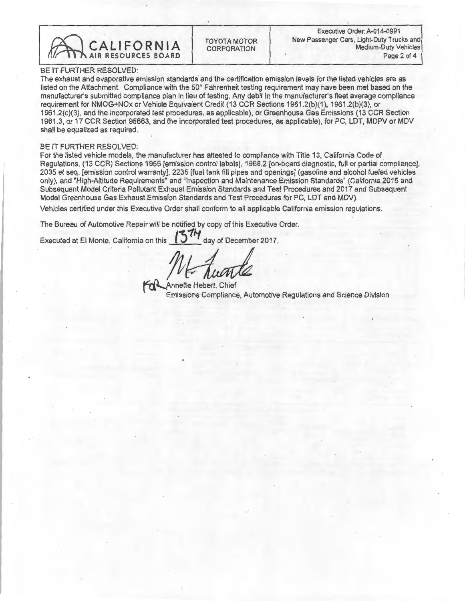

BE IT FURTHER RESOLVED:<br>The exhaust and evaporative emission standards and the certification emission levels for the listed vehicles are as The exhaust and evaporative emission standards and the certification emission levels for the listed vehicles are as listed on the Attachment. Compliance with the 50 Fahrenheit testing requirement may have been met based on the manufacturer's submitted compliance plan in lieu of testing. Any debit in the manufacturer's fleet average compliance requirement for NMOG+NOx or Vehicle Equivalent Credit (13 CCR Sections 1961.2(b)(1), 1961.2(b)(3), or<br>1961.2(c)(3), and the incorporated test procedures, as applicable), or Greenhouse Gas Emissions (13 CCR Section 1991.2(c)(3), and the incorporated test procedures, as applicable), or Greenhouse Gas Emissions (13 CCR Section  $\epsilon$  MDD) 1961.3, or 17 CCR Section 95663, and the incorporated test procedures, as applicable), for PC, LDT, MDPV or MDV shall be equalized as required.

#### BE IT FURTHER RESOLVED:

For the listed vehicle models, the manufacturer has attested to compliance with Title 13, California Code of<br>Regulations, (13 CCR) Sections 1965 [emission control labels], 1968.2 [on-board diagnostic, full or partial compl 2035 et seq. [emission control warranty], 2235 [fuel tank fill pipes and openings] (gasoline and alcohol fueled vehicles only), and "High-Altitude Requirements" and "Inspection and Maintenance Emission Standards" (California 2015 and only), and "High-Altitude Requirements" and "Inspection and Maintenance Emission Standards" (California 2015 and Subsequent Model Criteria Pollutant Exhaust Emission Standards and Test Procedures and 2017 and Subsequent Model Greenhouse Gas Exhaust Emission Standards and Test Procedures for PC, LDT and MDV).

Vehicles certified under this Executive Order shall conform to all applicable California emission regulations.

The Bureau of Automotive Repair will be notified by copy of this Executive Order.

Executed at El Monte, California on this  $\left(3\right)$  day of December 2017.

Emissions Compliano Emissions Compliance, Automotive Regulations and Science Division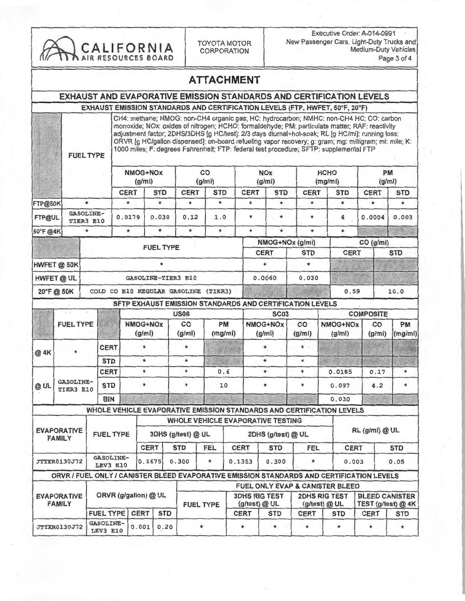

Executive Order: A-014-0991<br>New Passenger Cars. Light-Duty Trucks and CALIFORNIA TOYOTA MOTOR New Passenger Cars, Light-Duty Trucks and<br>AIR RESOURCES BOARD Page 3 of 4

### ATTACHMENT

#### EXHAUST AND EVAPORATIVE EMISSION STANDARDS AND CERTIFICATION LEVELS

# EXHAUST EMISSION STANDARDS AND CERTIFICATION LEVELS (FTP, HWFET, 50°F, 20°F)<br>CH4: methane: NMOG: non-CH4 organic gas: HC: hydrocarbon: NMHC: non-CH4 HC: CO: carbon

CH4: methane; NMOG: non-CH4 organic gas; HC: hydrocarbon; NMHC: non-CH4 HC; CO: carbon monoxide; NOx: oxides of nitrogen; HCHO: formaldehyde; PM: particulate matter; RAF: reactivity adjustment factor; 2DHS/3DHS [g HC/test]: 2/3 days diurnal+hot-soak; RL [g HC/mi]: running loss; ORVR [g HC/gallon dispensed]: on-board refueling vapor recovery; g: gram; mg: milligram; mi: mile; K: FUEL TYPE TODO miles, F. degrees Famerineit; FTP: lederal test procedure; SFTP: supplemental FTP

|             |  | NMOG+NOx<br>(g/mi)            |             |                  | CO<br>(g/mi) |            |             | <b>NOx</b><br>(g/mi) |             | <b>HCHO</b><br>(mg/mi) |             | <b>PM</b><br>(g/mi) |  |
|-------------|--|-------------------------------|-------------|------------------|--------------|------------|-------------|----------------------|-------------|------------------------|-------------|---------------------|--|
|             |  |                               | <b>CERT</b> | <b>STD</b>       | <b>CERT</b>  | <b>STD</b> | <b>CERT</b> | <b>STD</b>           | <b>CERT</b> | <b>STD</b>             | <b>CERT</b> | <b>STD</b>          |  |
| FTP@50K     |  |                               | $\star$     | $\star$          | $\ast$       | $\star$    | $\star$     | $\star$              | $\star$     | $\star$                | $\star$     | $\star$             |  |
| FTP@UL      |  | <b>GASOLINE-</b><br>TIER3 E10 | 0.0179      | 0.030            | 0.12         | 1.0        | $\ast$      | $\star$              | ٠           | 4                      | 0.0004      | 0.003               |  |
| 50°F @4K    |  |                               | $\star$     | $\star$          | $\star$      | $\star$    | $\star$     | $\star$              | $\star$     | $\star$                |             |                     |  |
|             |  |                               |             | <b>FUEL TYPE</b> |              |            |             | NMOG+NOx (g/mi)      |             |                        | CO (g/mi)   |                     |  |
|             |  |                               |             |                  |              |            | <b>CERT</b> |                      | <b>STD</b>  | <b>CERT</b>            |             | <b>STD</b>          |  |
| HWFET @ 50K |  |                               |             |                  |              |            |             |                      |             |                        |             |                     |  |
| HWFET @ UL  |  | <b>GASOLINE-TIER3 E10</b>     |             |                  |              |            |             | 0.0060               | 0.030       |                        |             |                     |  |
| 20°F@50K    |  |                               | COLD CO E10 | REGULAR GASOLINE |              | (TIER3)    |             |                      |             | 0.59                   |             | 10.0                |  |

#### SFTP EXHAUST EMISSION STANDARDS AND CERTIFICATION LEVELS.

|      |                               |             | <b>US06</b>        |              |                      | <b>SC03</b>        |              | <b>COMPOSITE</b>   |              |                      |
|------|-------------------------------|-------------|--------------------|--------------|----------------------|--------------------|--------------|--------------------|--------------|----------------------|
|      | <b>FUEL TYPE</b>              |             | NMOG+NOx<br>(g/mi) | co<br>(g/mi) | <b>PM</b><br>(mg/mi) | NMOG+NOx<br>(g/mi) | co<br>(g/mi) | NMOG+NOx<br>(g/mi) | CO<br>(g/mi) | <b>PM</b><br>(mg/mi) |
| @ 4K |                               | <b>CERT</b> |                    |              |                      |                    | $\star$      |                    |              |                      |
|      |                               | <b>STD</b>  |                    |              |                      |                    | $\star$      |                    |              |                      |
| @ UL |                               | <b>CERT</b> |                    |              | 0.6                  |                    | ۰            | 0.0185             | 0.17         | ÷                    |
|      | <b>GASOLINE-</b><br>TIER3 E10 | <b>STD</b>  |                    |              | 10                   |                    |              | 0.097              | 4.2          |                      |
|      |                               | <b>BIN</b>  |                    |              |                      |                    |              | 0.030              |              |                      |

|                                     | WHOLE VEHICLE EVAPORATIVE EMISSION STANDARDS AND CERTIFICATION LEVELS |             |                           |       |                                                                                                          |                                   |                                 |             |                                                                                                                                                                                                   |  |            |  |
|-------------------------------------|-----------------------------------------------------------------------|-------------|---------------------------|-------|----------------------------------------------------------------------------------------------------------|-----------------------------------|---------------------------------|-------------|---------------------------------------------------------------------------------------------------------------------------------------------------------------------------------------------------|--|------------|--|
|                                     |                                                                       |             |                           |       |                                                                                                          | WHOLE VEHICLE EVAPORATIVE TESTING |                                 |             |                                                                                                                                                                                                   |  |            |  |
| <b>EVAPORATIVE</b><br><b>FAMILY</b> | <b>FUEL TYPE</b>                                                      |             | 3DHS (g/test) @ UL        |       |                                                                                                          |                                   | 2DHS (g/test) @ UL              |             |                                                                                                                                                                                                   |  |            |  |
|                                     |                                                                       |             | <b>CERT</b><br><b>STD</b> |       | FEL                                                                                                      | <b>CERT</b>                       | <b>STD</b>                      | FEL         |                                                                                                                                                                                                   |  | <b>STD</b> |  |
| <b>JTYXR0130J72</b>                 | <b>GASOLINE-</b><br>LEV3 E10                                          | 0.1675      |                           | 0.300 | $\star$                                                                                                  | 0.1353                            | 0.300                           | $\star$     |                                                                                                                                                                                                   |  | 0.05       |  |
|                                     |                                                                       |             |                           |       |                                                                                                          |                                   |                                 |             |                                                                                                                                                                                                   |  |            |  |
|                                     |                                                                       |             |                           |       |                                                                                                          |                                   | FUEL ONLY EVAP & CANISTER BLEED |             |                                                                                                                                                                                                   |  |            |  |
| <b>EVAPORATIVE</b><br><b>FAMILY</b> | ORVR (g/gallon) @ UL                                                  |             |                           |       | <b>3DHS RIG TEST</b><br><b>2DHS RIG TEST</b><br>(g/test) @ UL<br>$(g$ /test $)$ @ UL<br><b>FUEL TYPE</b> |                                   |                                 |             | RL (g/mi) @ UL<br><b>CERT</b><br>0.003<br>ORVR / FUEL ONLY / CANISTER BLEED EVAPORATIVE EMISSION STANDARDS AND CERTIFICATION LEVELS<br><b>BLEED CANISTER</b><br>TEST (g/test) @ 4K<br><b>CERT</b> |  |            |  |
|                                     | <b>FUEL TYPE</b>                                                      | <b>CERT</b> | <b>STD</b>                |       |                                                                                                          | <b>CERT</b>                       | <b>STD</b>                      | <b>CERT</b> | <b>STD</b>                                                                                                                                                                                        |  | <b>STD</b> |  |
| <b>JTYXR0130J72</b>                 | <b>GASOLINE-</b><br>LEV3 E10                                          | 0.001       | 0.20                      |       |                                                                                                          |                                   | $\star$                         | $\star$     | ٠                                                                                                                                                                                                 |  |            |  |